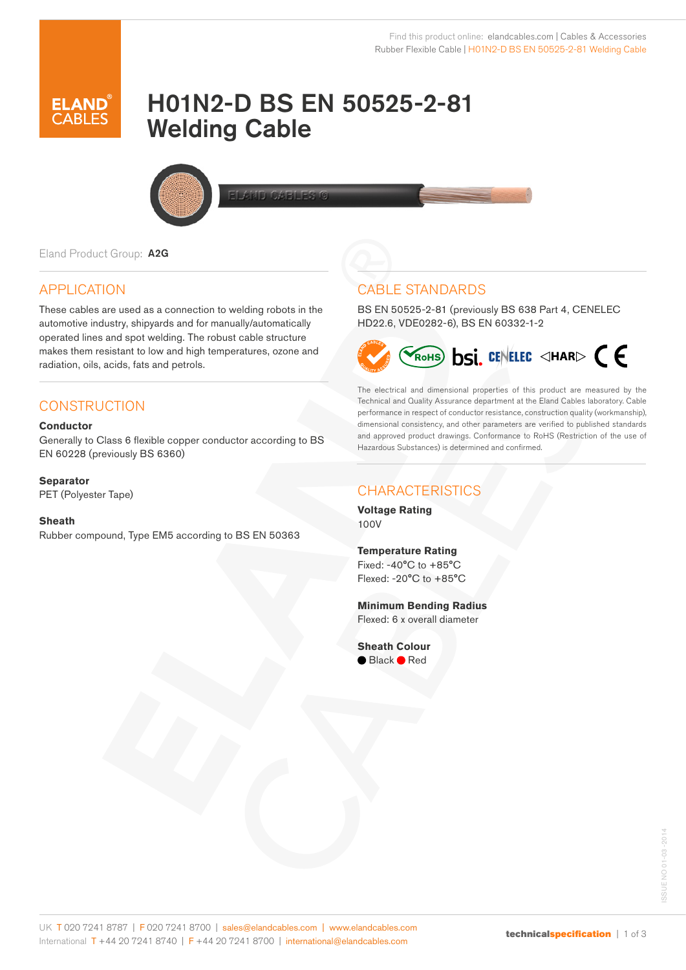

# H01N2-D BS EN 50525-2-81 Welding Cable



Eland Product Group: A2G

### APPLICATION

These cables are used as a connection to welding robots in the automotive industry, shipyards and for manually/automatically operated lines and spot welding. The robust cable structure makes them resistant to low and high temperatures, ozone and radiation, oils, acids, fats and petrols.

### **CONSTRUCTION**

#### **Conductor**

Generally to Class 6 flexible copper conductor according to BS EN 60228 (previously BS 6360)

#### **Separator**

PET (Polyester Tape)

#### **Sheath**

Rubber compound, Type EM5 according to BS EN 50363

### CABLE STANDARDS

BS EN 50525-2-81 (previously BS 638 Part 4, CENELEC HD22.6, VDE0282-6), BS EN 60332-1-2



The electrical and dimensional properties of this product are measured by the Technical and Quality Assurance department at the Eland Cables laboratory. Cable performance in respect of conductor resistance, construction quality (workmanship), dimensional consistency, and other parameters are verified to published standards and approved product drawings. Conformance to RoHS (Restriction of the use of Hazardous Substances) is determined and confirmed.

## **CHARACTERISTICS**

**Voltage Rating** 100V

**Temperature Rating** Fixed: -40°C to +85°C Flexed: -20°C to +85°C

**Minimum Bending Radius** Flexed: 6 x overall diameter

**Sheath Colour**  ● Black ● Red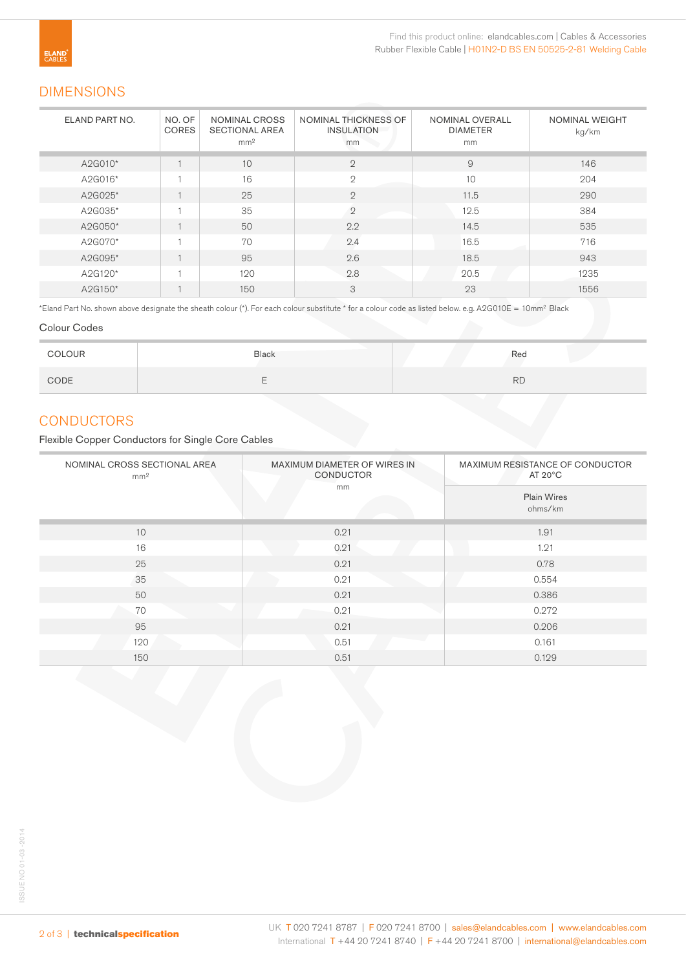### DIMENSIONS

| ELAND PART NO. | NO. OF<br><b>CORES</b> | NOMINAL CROSS<br><b>SECTIONAL AREA</b><br>mm <sup>2</sup> | NOMINAL THICKNESS OF<br><b>INSULATION</b><br>mm | <b>NOMINAL OVERALL</b><br><b>DIAMETER</b><br>mm | NOMINAL WEIGHT<br>kg/km |
|----------------|------------------------|-----------------------------------------------------------|-------------------------------------------------|-------------------------------------------------|-------------------------|
| A2G010*        |                        | 10                                                        | $\mathbf{2}$                                    | 9                                               | 146                     |
| A2G016*        |                        | 16                                                        | $\mathfrak{D}$                                  | 10                                              | 204                     |
| A2G025*        |                        | 25                                                        | $\mathfrak{D}$                                  | 11.5                                            | 290                     |
| A2G035*        |                        | 35                                                        | $\overline{2}$                                  | 12.5                                            | 384                     |
| A2G050*        |                        | 50                                                        | 2.2                                             | 14.5                                            | 535                     |
| A2G070*        |                        | 70                                                        | 2.4                                             | 16.5                                            | 716                     |
| A2G095*        |                        | 95                                                        | 2.6                                             | 18.5                                            | 943                     |
| A2G120*        |                        | 120                                                       | 2.8                                             | 20.5                                            | 1235                    |
| A2G150*        |                        | 150                                                       | 3                                               | 23                                              | 1556                    |

\*Eland Part No. shown above designate the sheath colour (\*). For each colour substitute \* for a colour code as listed below. e.g. A2G010E = 10mm2 Black

#### Colour Codes

| COLOUR | <b>Black</b> | Red       |
|--------|--------------|-----------|
| CODE   |              | <b>RD</b> |

#### **CONDUCTORS**

Flexible Copper Conductors for Single Core Cables

| NOMINAL CROSS SECTIONAL AREA<br>mm <sup>2</sup> | MAXIMUM DIAMETER OF WIRES IN<br>CONDUCTOR | MAXIMUM RESISTANCE OF CONDUCTOR<br>AT $20^{\circ}$ C |  |  |
|-------------------------------------------------|-------------------------------------------|------------------------------------------------------|--|--|
|                                                 | mm                                        | <b>Plain Wires</b><br>ohms/km                        |  |  |
| 10                                              | 0.21                                      | 1.91                                                 |  |  |
| 16                                              | 0.21                                      | 1.21                                                 |  |  |
| 25                                              | 0.21                                      | 0.78                                                 |  |  |
| 35                                              | 0.21                                      | 0.554                                                |  |  |
| 50                                              | 0.21                                      | 0.386                                                |  |  |
| 70                                              | 0.21                                      | 0.272                                                |  |  |
| 95                                              | 0.21                                      | 0.206                                                |  |  |
| 120                                             | 0.51                                      | 0.161                                                |  |  |
| 150                                             | 0.51                                      | 0.129                                                |  |  |